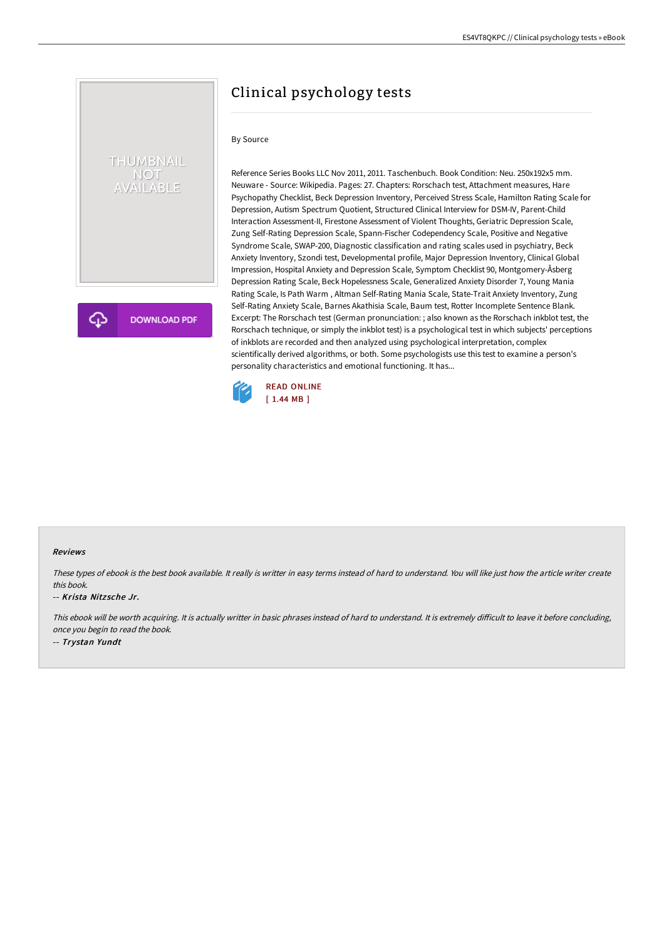# Clinical psychology tests

### By Source

THUMBNAIL NOT<br>AVAILABLE

**DOWNLOAD PDF** 

Reference Series Books LLC Nov 2011, 2011. Taschenbuch. Book Condition: Neu. 250x192x5 mm. Neuware - Source: Wikipedia. Pages: 27. Chapters: Rorschach test, Attachment measures, Hare Psychopathy Checklist, Beck Depression Inventory, Perceived Stress Scale, Hamilton Rating Scale for Depression, Autism Spectrum Quotient, Structured Clinical Interview for DSM-IV, Parent-Child Interaction Assessment-II, Firestone Assessment of Violent Thoughts, Geriatric Depression Scale, Zung Self-Rating Depression Scale, Spann-Fischer Codependency Scale, Positive and Negative Syndrome Scale, SWAP-200, Diagnostic classification and rating scales used in psychiatry, Beck Anxiety Inventory, Szondi test, Developmental profile, Major Depression Inventory, Clinical Global Impression, Hospital Anxiety and Depression Scale, Symptom Checklist 90, Montgomery-Åsberg Depression Rating Scale, Beck Hopelessness Scale, Generalized Anxiety Disorder 7, Young Mania Rating Scale, Is Path Warm , Altman Self-Rating Mania Scale, State-Trait Anxiety Inventory, Zung Self-Rating Anxiety Scale, Barnes Akathisia Scale, Baum test, Rotter Incomplete Sentence Blank. Excerpt: The Rorschach test (German pronunciation: ; also known as the Rorschach inkblot test, the Rorschach technique, or simply the inkblot test) is a psychological test in which subjects' perceptions of inkblots are recorded and then analyzed using psychological interpretation, complex scientifically derived algorithms, or both. Some psychologists use this test to examine a person's personality characteristics and emotional functioning. It has...



#### Reviews

These types of ebook is the best book available. It really is writter in easy terms instead of hard to understand. You will like just how the article writer create this book.

#### -- Krista Nitz sche Jr.

This ebook will be worth acquiring. It is actually writter in basic phrases instead of hard to understand. It is extremely difficult to leave it before concluding, once you begin to read the book. -- Trystan Yundt